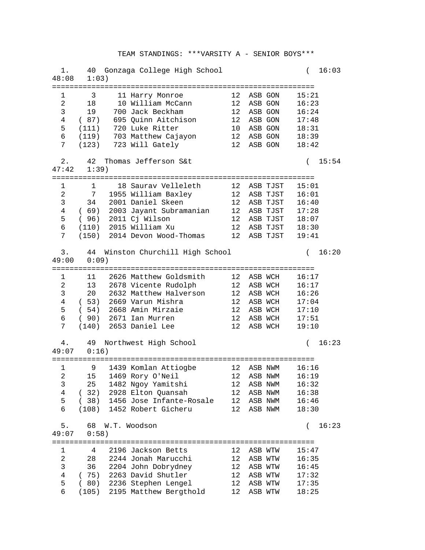| 1.<br>48:08         | 1:03)       | 40 Gonzaga College High School   |                  |                   | 16:03<br>$\left($ |
|---------------------|-------------|----------------------------------|------------------|-------------------|-------------------|
| 1                   | 3           | 11 Harry Monroe                  | 12               | ASB GON           | 15:21             |
| $\overline{a}$      | 18          | 10 William McCann                |                  | 12 ASB GON        | 16:23             |
| 3                   | 19          | 700 Jack Beckham                 |                  | 12 ASB GON        | 16:24             |
| 4                   | (87)        | 695 Quinn Aitchison              | 12               | ASB GON           | 17:48             |
| 5                   | (111)       | 720 Luke Ritter                  | 10 <sub>1</sub>  | ASB GON           | 18:31             |
| 6                   | (119)       | 703 Matthew Cajayon              |                  | 12 ASB GON        | 18:39             |
| 7                   | (123)       | 723 Will Gately                  | 12 <sup>1</sup>  | ASB GON           | 18:42             |
|                     |             |                                  |                  |                   |                   |
| $2$ .<br>47:42      | 42<br>1:39) | Thomas Jefferson S&t             |                  |                   | 15:54<br>$\left($ |
|                     |             |                                  |                  |                   |                   |
| 1                   | 1           | 18 Saurav Velleleth              |                  | 12 ASB TJST       | 15:01             |
| 2                   | 7           | 1955 William Baxley              |                  | 12 ASB TJST       | 16:01             |
| 3                   |             | 34 2001 Daniel Skeen             |                  | 12 ASB TJST       | 16:40             |
| 4                   |             | (69) 2003 Jayant Subramanian     |                  | 12 ASB TJST 17:28 |                   |
| 5                   | (96)        | 2011 Cj Wilson                   |                  | 12 ASB TJST       | 18:07             |
| б                   |             | $(110)$ 2015 William Xu          |                  | 12 ASB TJST       | 18:30             |
| 7                   |             | (150) 2014 Devon Wood-Thomas     |                  | 12 ASB TJST       | 19:41             |
|                     |             |                                  |                  |                   |                   |
| 3.<br>49:00         | $0:09$ )    | 44 Winston Churchill High School |                  |                   | 16:20<br>$\left($ |
|                     |             |                                  |                  |                   |                   |
| 1<br>$\overline{a}$ | 11          | 2626 Matthew Goldsmith           | 12               | ASB WCH           | 16:17             |
|                     |             | 13 2678 Vicente Rudolph          |                  | 12 ASB WCH        | 16:17             |
| 3                   |             | 20 2632 Matthew Halverson        | 12 <sup>12</sup> | ASB WCH           | 16:26             |
| $\overline{4}$      |             | (53) 2669 Varun Mishra           | 12 <sup>1</sup>  | ASB WCH           | 17:04             |
| 5                   | (54)        | 2668 Amin Mirzaie                | 12 <sup>1</sup>  | ASB WCH           | 17:10             |
| 6                   |             | (90) 2671 Ian Murren             | 12               | ASB WCH           | 17:51             |
| 7                   |             | (140) 2653 Daniel Lee            | 12               | ASB WCH           | 19:10             |
| 4.                  | 49          | Northwest High School            |                  |                   | 16:23<br>$\left($ |
| 49:07               | 0:16)       |                                  |                  |                   |                   |
| 1                   |             | 9 1439 Komlan Attiogbe           |                  | 12 ASB NWM        | 16:16             |
| $2^{\circ}$         |             | 15 1469 Rory O'Neil              |                  | 12 ASB NWM        | 16:19             |
| 3                   | 25          | 1482 Ngoy Yamitshi               | 12               | ASB NWM           | 16:32             |
| $\overline{4}$      | (32)        | 2928 Elton Quansah               | 12               | ASB NWM           | 16:38             |
| 5                   | (38)        | 1456 Jose Infante-Rosale         | 12               | ASB NWM           | 16:46             |
| $\epsilon$          | (108)       | 1452 Robert Gicheru              | 12               | ASB NWM           | 18:30             |
|                     |             |                                  |                  |                   |                   |
| 5.                  | 68          | W.T. Woodson                     |                  |                   | 16:23<br>$\left($ |
| 49:07               | 0:58)       |                                  |                  |                   |                   |
|                     |             |                                  |                  |                   |                   |
| 1                   | 4           | 2196 Jackson Betts               | 12               | ASB WTW           | 15:47             |
| $\sqrt{2}$          | 28          | 2244 Jonah Marucchi              | 12               | ASB WTW           | 16:35             |
| 3                   | 36          | 2204 John Dobrydney              | 12               | ASB WTW           | 16:45             |
| $\overline{4}$      | (75)        | 2263 David Shutler               | 12               | ASB WTW           | 17:32             |
| 5                   | (80)        | 2236 Stephen Lengel              | 12               | ASB WTW           | 17:35             |
| 6                   | (105)       | 2195 Matthew Bergthold           | 12               | ASB WTW           | 18:25             |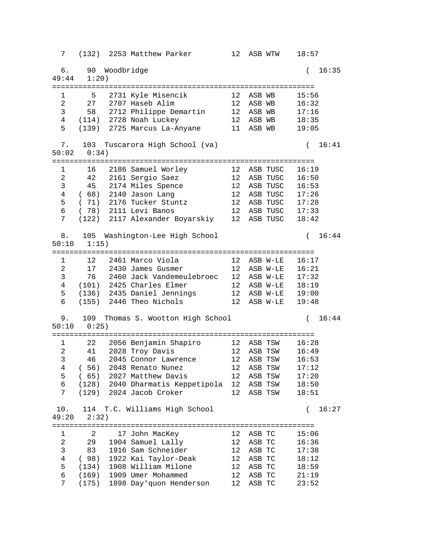7 (132) 2253 Matthew Parker 12 ASB WTW 18:57 6. 90 Woodbridge ( 16:35 49:44 1:20) ============================================================ 1 5 2731 Kyle Misencik 12 ASB WB 15:56 2 27 2707 Haseb Alim 12 ASB WB 16:32 3 58 2712 Philippe Demartin 12 ASB WB 17:16 4 (114) 2728 Noah Luckey 12 ASB WB 18:35 5 (139) 2725 Marcus La-Anyane 11 ASB WB 19:05 7. 103 Tuscarora High School (va) ( 16:41 50:02 0:34) ============================================================ 1 16 2186 Samuel Worley 12 ASB TUSC 16:19 2 42 2161 Sergio Saez 12 ASB TUSC 16:50 3 45 2174 Miles Spence 12 ASB TUSC 16:53 4 ( 68) 2140 Jason Lang 12 ASB TUSC 17:26 5 ( 71) 2176 Tucker Stuntz 12 ASB TUSC 17:28 6 ( 78) 2111 Levi Banos 12 ASB TUSC 17:33 7 (122) 2117 Alexander Boyarskiy 12 ASB TUSC 18:42 8. 105 Washington-Lee High School ( 16:44 50:10 1:15) ============================================================ 1 12 2461 Marco Viola 12 ASB W-LE 16:17 2 17 2430 James Gusmer 12 ASB W-LE 16:21 3 76 2460 Jack Vandemeulebroec 12 ASB W-LE 17:32 4 (101) 2425 Charles Elmer 12 ASB W-LE 18:19 5 (136) 2435 Daniel Jennings 12 ASB W-LE 19:00 6 (155) 2446 Theo Nichols 12 ASB W-LE 19:48 9. 109 Thomas S. Wootton High School ( 16:44 50:10 0:25) ============================================================ 1 22 2056 Benjamin Shapiro 12 ASB TSW 16:28 2 41 2028 Troy Davis 12 ASB TSW 16:49 3 46 2045 Connor Lawrence 12 ASB TSW 16:53 4 ( 56) 2048 Renato Nunez 12 ASB TSW 17:12 5 ( 65) 2027 Matthew Davis 12 ASB TSW 17:20 6 (128) 2040 Dharmatis Keppetipola 12 ASB TSW 18:50 7 (129) 2024 Jacob Croker 12 ASB TSW 18:51 10. 114 T.C. Williams High School ( 16:27 49:20 2:32) ============================================================ 1 2 17 John MacKey 12 ASB TC 15:06 2 29 1904 Samuel Lally 12 ASB TC 16:36 3 83 1916 Sam Schneider 12 ASB TC 17:38 4 ( 98) 1922 Kai Taylor-Deak 12 ASB TC 18:12 5 (134) 1908 William Milone 12 ASB TC 18:59 6 (169) 1909 Umer Mohammed 12 ASB TC 21:19 7 (175) 1898 Day'quon Henderson 12 ASB TC 23:52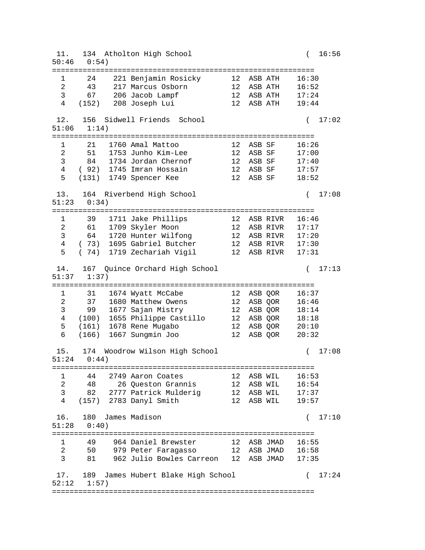11. 134 Atholton High School ( 16:56 50:46 0:54) ============================================================ 1 24 221 Benjamin Rosicky 12 ASB ATH 16:30 2 43 217 Marcus Osborn 12 ASB ATH 16:52 3 67 206 Jacob Lampf 12 ASB ATH 17:24 4 (152) 208 Joseph Lui 12 ASB ATH 19:44 12. 156 Sidwell Friends School ( 17:02 51:06 1:14) ============================================================ 1 21 1760 Amal Mattoo 12 ASB SF 16:26 2 51 1753 Junho Kim-Lee 12 ASB SF 17:00 3 84 1734 Jordan Chernof 12 ASB SF 17:40 4 ( 92) 1745 Imran Hossain 12 ASB SF 17:57 5 (131) 1749 Spencer Kee 12 ASB SF 18:52 13. 164 Riverbend High School ( 17:08 51:23 0:34) ============================================================ 1 39 1711 Jake Phillips 12 ASB RIVR 16:46 2 61 1709 Skyler Moon 12 ASB RIVR 17:17 3 64 1720 Hunter Wilfong 12 ASB RIVR 17:20 4 ( 73) 1695 Gabriel Butcher 12 ASB RIVR 17:30 5 ( 74) 1719 Zechariah Vigil 12 ASB RIVR 17:31 14. 167 Quince Orchard High School ( 17:13 51:37 1:37) ============================================================ 1 31 1674 Wyatt McCabe 12 ASB QOR 16:37 2 37 1680 Matthew Owens 12 ASB QOR 16:46 3 99 1677 Sajan Mistry 12 ASB QOR 18:14 4 (100) 1655 Philippe Castillo 12 ASB QOR 18:18 5 (161) 1678 Rene Mugabo 12 ASB QOR 20:10 6 (166) 1667 Sungmin Joo 12 ASB QOR 20:32 15. 174 Woodrow Wilson High School ( 17:08 51:24 0:44) ============================================================ 1 44 2749 Aaron Coates 12 ASB WIL 16:53 2 48 26 Queston Grannis 12 ASB WIL 16:54 3 82 2777 Patrick Mulderig 12 ASB WIL 17:37 4 (157) 2783 Danyl Smith 12 ASB WIL 19:57 16. 180 James Madison ( 17:10 51:28 0:40) ============================================================ 1 49 964 Daniel Brewster 12 ASB JMAD 16:55 2 50 979 Peter Faragasso 12 ASB JMAD 16:58 3 81 962 Julio Bowles Carreon 12 ASB JMAD 17:35 17. 189 James Hubert Blake High School ( 17:24 52:12 1:57) ============================================================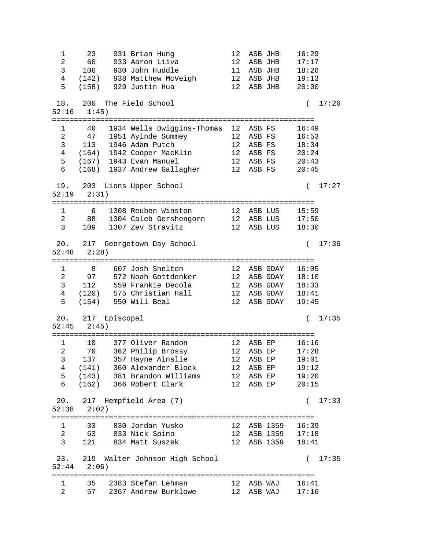1 23 931 Brian Hung 12 ASB JHB 16:29 2 60 933 Aaron Liiva 12 ASB JHB 17:17 3 106 930 John Huddle 11 ASB JHB 18:26 4 (142) 938 Matthew McVeigh 12 ASB JHB 19:13 5 (158) 929 Justin Hua 12 ASB JHB 20:00 18. 200 The Field School ( 17:26 52:16 1:45) ============================================================ 1 40 1934 Wells Dwiggins-Thomas 12 ASB FS 16:49 2 47 1951 Ayinde Summey 12 ASB FS 16:53 3 113 1946 Adam Putch 12 ASB FS 18:34 4 (164) 1942 Cooper MacKlin 12 ASB FS 20:24 5 (167) 1943 Evan Manuel 12 ASB FS 20:43 6 (168) 1937 Andrew Gallagher 12 ASB FS 20:45 19. 203 Lions Upper School ( 17:27 52:19 2:31) ============================================================ 1 6 1308 Reuben Winston 12 ASB LUS 15:59 2 88 1304 Caleb Gershengorn 12 ASB LUS 17:50 3 109 1307 Zev Stravitz 12 ASB LUS 18:30 20. 217 Georgetown Day School ( 17:36 52:48 2:28) ============================================================ 1 8 607 Josh Shelton 12 ASB GDAY 16:05 2 97 572 Noah Gottdenker 12 ASB GDAY 18:10 3 112 559 Frankie Decola 12 ASB GDAY 18:33 4 (120) 575 Christian Hall 12 ASB GDAY 18:41 5 (154) 550 Will Beal 12 ASB GDAY 19:45 20. 217 Episcopal ( 17:35 52:45 2:45) ============================================================ 1 10 377 Oliver Randon 12 ASB EP 16:16 2 70 362 Philip Brossy 12 ASB EP 17:28 3 137 357 Hayne Ainslie 12 ASB EP 19:01 4 (141) 360 Alexander Block 12 ASB EP 19:12 5 (143) 381 Brandon Williams 12 ASB EP 19:20 6 (162) 366 Robert Clark 12 ASB EP 20:15 20. 217 Hempfield Area (7) ( 17:33 52:38 2:02) ============================================================ 1 33 830 Jordan Yusko 12 ASB 1359 16:39 2 63 833 Nick Spino 12 ASB 1359 17:18 3 121 834 Matt Suszek 12 ASB 1359 18:41 23. 219 Walter Johnson High School ( 17:35 52:44 2:06) ============================================================ 1 35 2383 Stefan Lehman 12 ASB WAJ 16:41 2 57 2367 Andrew Burklowe 12 ASB WAJ 17:16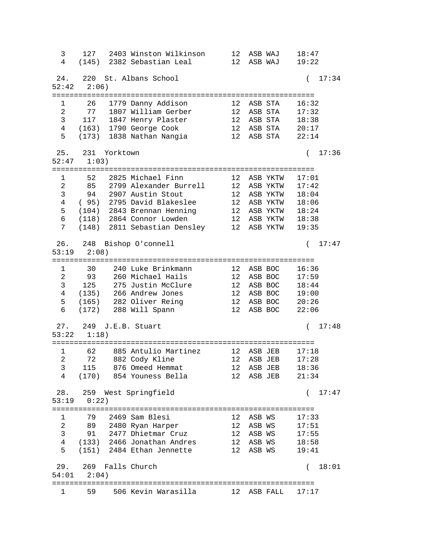3 127 2403 Winston Wilkinson 12 ASB WAJ 18:47 4 (145) 2382 Sebastian Leal 12 ASB WAJ 19:22 24. 220 St. Albans School ( 17:34 52:42 2:06) ============================================================ 1 26 1779 Danny Addison 12 ASB STA 16:32 2 77 1807 William Gerber 12 ASB STA 17:32 3 117 1847 Henry Plaster 12 ASB STA 18:38 4 (163) 1790 George Cook 12 ASB STA 20:17 5 (173) 1838 Nathan Nangia 12 ASB STA 22:14 25. 231 Yorktown ( 17:36 52:47 1:03) ============================================================ 1 52 2825 Michael Finn 12 ASB YKTW 17:01 2 85 2799 Alexander Burrell 12 ASB YKTW 17:42 3 94 2907 Austin Stout 12 ASB YKTW 18:04 4 ( 95) 2795 David Blakeslee 12 ASB YKTW 18:06 5 (104) 2843 Brennan Henning 12 ASB YKTW 18:24 6 (118) 2864 Connor Lowden 12 ASB YKTW 18:38 7 (148) 2811 Sebastian Densley 12 ASB YKTW 19:35 26. 248 Bishop O'connell ( 17:47 53:19 2:08) ============================================================ 1 30 240 Luke Brinkmann 12 ASB BOC 16:36 2 93 260 Michael Hails 12 ASB BOC 17:59 3 125 275 Justin McClure 12 ASB BOC 18:44 4 (135) 266 Andrew Jones 12 ASB BOC 19:00 5 (165) 282 Oliver Reing 12 ASB BOC 20:26 6 (172) 288 Will Spann 12 ASB BOC 22:06 27. 249 J.E.B. Stuart ( 17:48 53:22 1:18) ============================================================ 1 62 885 Antulio Martinez 12 ASB JEB 17:18 2 72 882 Cody Kline 12 ASB JEB 17:28 3 115 876 Omeed Hemmat 12 ASB JEB 18:36 4 (170) 854 Youness Bella 12 ASB JEB 21:34 28. 259 West Springfield ( 17:47 53:19 0:22) ============================================================ 1 79 2469 Sam Blesi 12 ASB WS 17:33 2 89 2480 Ryan Harper 12 ASB WS 17:51 3 91 2477 Dhietmar Cruz 12 ASB WS 17:55 4 (133) 2466 Jonathan Andres 12 ASB WS 18:58 5 (151) 2484 Ethan Jennette 12 ASB WS 19:41 29. 269 Falls Church ( 18:01 54:01 2:04) ============================================================ 1 59 506 Kevin Warasilla 12 ASB FALL 17:17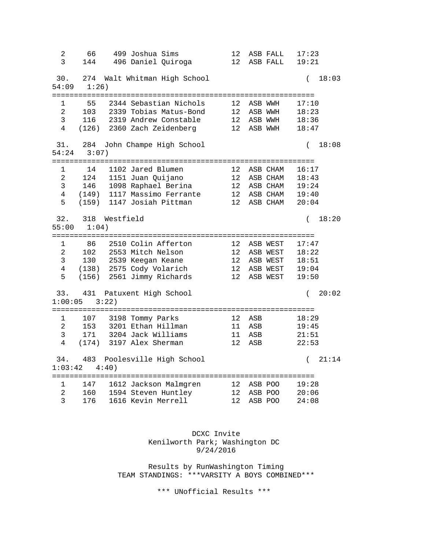2 66 499 Joshua Sims 12 ASB FALL 17:23 3 144 496 Daniel Quiroga 12 ASB FALL 19:21 30. 274 Walt Whitman High School ( 18:03 54:09 1:26) ============================================================ 1 55 2344 Sebastian Nichols 12 ASB WWH 17:10 2 103 2339 Tobias Matus-Bond 12 ASB WWH 18:23 3 116 2319 Andrew Constable 12 ASB WWH 18:36 4 (126) 2360 Zach Zeidenberg 12 ASB WWH 18:47 31. 284 John Champe High School ( 18:08 54:24 3:07) ============================================================ 1 14 1102 Jared Blumen 12 ASB CHAM 16:17 2 124 1151 Juan Quijano 12 ASB CHAM 18:43 3 146 1098 Raphael Berina 12 ASB CHAM 19:24 4 (149) 1117 Massimo Ferrante 12 ASB CHAM 19:40 5 (159) 1147 Josiah Pittman 12 ASB CHAM 20:04 32. 318 Westfield ( 18:20 55:00 1:04) ============================================================ 1 86 2510 Colin Afferton 12 ASB WEST 17:47 2 102 2553 Mitch Nelson 12 ASB WEST 18:22 3 130 2539 Keegan Keane 12 ASB WEST 18:51 4 (138) 2575 Cody Volarich 12 ASB WEST 19:04 5 (156) 2561 Jimmy Richards 12 ASB WEST 19:50 33. 431 Patuxent High School ( 20:02 1:00:05 3:22) ============================================================ 1 107 3198 Tommy Parks 12 ASB 18:29 2 153 3201 Ethan Hillman 11 ASB 19:45 3 171 3204 Jack Williams 11 ASB 21:51 4 (174) 3197 Alex Sherman 12 ASB 22:53 34. 483 Poolesville High School ( 21:14 1:03:42 4:40) ============================================================ 1 147 1612 Jackson Malmgren 12 ASB POO 19:28 2 160 1594 Steven Huntley 12 ASB POO 20:06 3 176 1616 Kevin Merrell 12 ASB POO 24:08

> DCXC Invite Kenilworth Park; Washington DC 9/24/2016

 Results by RunWashington Timing TEAM STANDINGS: \*\*\*VARSITY A BOYS COMBINED\*\*\*

\*\*\* UNofficial Results \*\*\*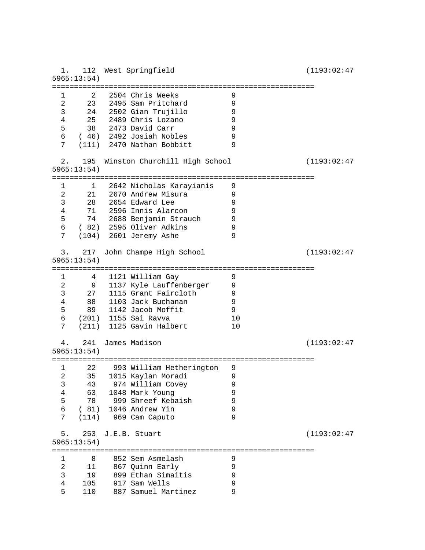1. 112 West Springfield (1193:02:47 5965:13:54) ============================================================ 1 2 2504 Chris Weeks 9<br>2 23 2495 Sam Pritchard 9 2 23 2495 Sam Pritchard 9<br>3 24 2502 Gian Trujillo 9 3 24 2502 Gian Trujillo 9 4 25 2489 Chris Lozano 9<br>5 38 2473 David Carr 9 5 38 2473 David Carr 9 6 ( 46) 2492 Josiah Nobles 9 7 (111) 2470 Nathan Bobbitt 9 2. 195 Winston Churchill High School (1193:02:47 5965:13:54) ============================================================ 1 1 2642 Nicholas Karayianis 9 2 21 2670 Andrew Misura<br>3 28 2654 Edward Lee 9 3 28 2654 Edward Lee 9 4 71 2596 Innis Alarcon 9 5 74 2688 Benjamin Strauch 9 6 ( 82) 2595 Oliver Adkins 9 7 (104) 2601 Jeremy Ashe 9 3. 217 John Champe High School (1193:02:47 5965:13:54) ============================================================ 1 4 1121 William Gay 9<br>2 9 1137 Kvle Lauffenberger 9 2 9 1137 Kyle Lauffenberger 9 3 27 1115 Grant Faircloth 9 4 88 1103 Jack Buchanan 9 5 89 1142 Jacob Moffit 9 6 (201) 1155 Sai Ravva 10 7 (211) 1125 Gavin Halbert 10 4. 241 James Madison (1193:02:47 5965:13:54) ============================================================ 1 22 993 William Hetherington 9 2 35 1015 Kaylan Moradi 9 3 43 974 William Covey 9 4 63 1048 Mark Young 9 5 78 999 Shreef Kebaish 9 6 (81) 1046 Andrew Yin 9<br>7 (114) 969 Cam Caputo 9 7 (114) 969 Cam Caputo 5. 253 J.E.B. Stuart (1193:02:47 5965:13:54) ============================================================ 1 8 852 Sem Asmelash 9<br>2 11 867 Quinn Early 9 2 11 867 Quinn Early 9<br>3 19 899 Ethan Simaitis 9 3 19 899 Ethan Simaitis 9 4 105 917 Sam Wells 9 5 110 887 Samuel Martinez 9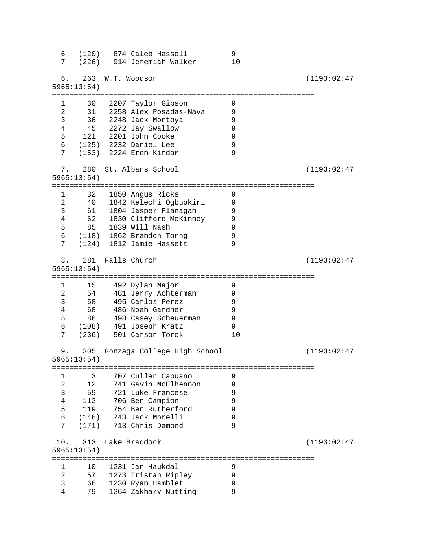6 (120) 874 Caleb Hassell 9 7 (226) 914 Jeremiah Walker 10 6. 263 W.T. Woodson (1193:02:47 5965:13:54) ============================================================ 1 30 2207 Taylor Gibson 9 2 31 2258 Alex Posadas-Nava 9 3 36 2248 Jack Montoya 9 4 45 2272 Jay Swallow 9 ---<br>121 2201 John Cooke 9<br>(125) 2232 Daniel Lee 9 6 (125) 2232 Daniel Lee 9 7 (153) 2224 Eren Kirdar 9 7. 280 St. Albans School (1193:02:47 5965:13:54) ============================================================ 1 32 1850 Angus Ricks 9 2 40 1842 Kelechi Ogbuokiri 9 3 61 1804 Jasper Flanagan<br>4 62 1830 Clifford McKinney 4 62 1830 Clifford McKinney 9 5 85 1839 Will Nash 9 6 (118) 1862 Brandon Torng 9 7 (124) 1812 Jamie Hassett 9 8. 281 Falls Church (1193:02:47 5965:13:54) ============================================================ 1 15 492 Dylan Major 9 2 54 481 Jerry Achterman 9 3 58 495 Carlos Perez 9 4 68 486 Noah Gardner<br>5 86 498 Casey Scheuermar 5 86 498 Casey Scheuerman 9 6 (108) 491 Joseph Kratz 9 7 (236) 501 Carson Torok 10 9. 305 Gonzaga College High School (1193:02:47 5965:13:54) ============================================================ 1 3 707 Cullen Capuano 9<br>2 12 741 Gavin McElhennon 9 2 12 741 Gavin McElhennon 9 3 59 721 Luke Francese 9 4 112 706 Ben Campion 9 119 754 Ben Rutherford 9<br>(146) 743 Jack Morelli 9 6 (146) 743 Jack Morelli 9 7 (171) 713 Chris Damond 9 10. 313 Lake Braddock (1193:02:47 5965:13:54) ============================================================ 10 1231 Ian Haukdal 9 2 57 1273 Tristan Ripley 9 3 66 1230 Ryan Hamblet 9 4 79 1264 Zakhary Nutting 9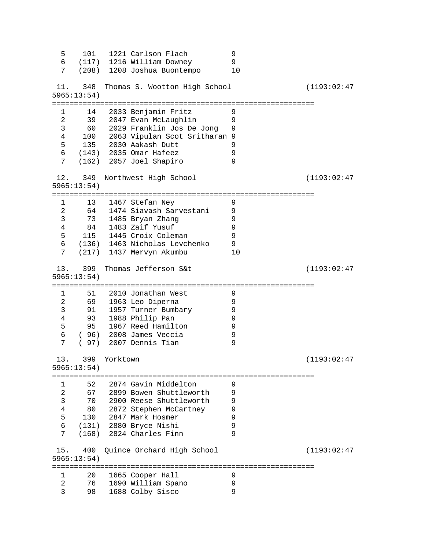5 101 1221 Carlson Flach 9 6 (117) 1216 William Downey 9 7 (208) 1208 Joshua Buontempo 10 11. 348 Thomas S. Wootton High School (1193:02:47 5965:13:54) ============================================================ 1 14 2033 Benjamin Fritz 9 2 39 2047 Evan McLaughlin<br>3 60 2029 Franklin Jos De Jong 3 60 2029 Franklin Jos De Jong 9 4 100 2063 Vipulan Scot Sritharan 9 135 2030 Aakash Dutt 9<br>(143) 2035 Omar Hafeez 9 6 (143) 2035 Omar Hafeez 9  $(162)$  2057 Joel Shapiro 12. 349 Northwest High School (1193:02:47 5965:13:54) ============================================================ 1 13 1467 Stefan Ney 9<br>2 64 1474 Siavash Sarvestani 9 2 64 1474 Siavash Sarvestani 9 3 73 1485 Bryan Zhang 9<br>4 84 1483 Zaif Yusuf 9 4 84 1483 Zaif Yusuf 9 5 1445 Croix Coleman (136) 1463 Nicholas Levchenko 6 (136) 1463 Nicholas Levchenko 9 7 (217) 1437 Mervyn Akumbu 10 13. 399 Thomas Jefferson S&t (1193:02:47 5965:13:54) ============================================================ 1 51 2010 Jonathan West 9<br>2 69 1963 Leo Diperna 9 2 69 1963 Leo Diperna 9 3 91 1957 Turner Bumbary 9 4 93 1988 Philip Pan 9 95 1967 Reed Hamilton 9<br>196) 2008 James Veccia 9 6 ( 96) 2008 James Veccia 9 7 ( 97) 2007 Dennis Tian 9 13. 399 Yorktown (1193:02:47 5965:13:54) ============================================================ 1 52 2874 Gavin Middelton 9<br>2 67 2899 Bowen Shuttleworth 9 2 67 2899 Bowen Shuttleworth 9 3 70 2900 Reese Shuttleworth 9 and the contractions of the control of the 130 of 2847 Mark Hosmer (130 of 9)<br>130 2847 Mark Hosmer (130 of 9) 130 2847 Mark Hosmer 9<br>(131) 2880 Bryce Nishi 9 6 (131) 2880 Bryce Nishi 9 7 (168) 2824 Charles Finn 9 15. 400 Quince Orchard High School (1193:02:47 5965:13:54) ============================================================ 1 20 1665 Cooper Hall 9<br>2 76 1690 William Spano 9<br>3 98 1688 Colby Sisco 9 1 20 1000 0111<br>2 76 1690 William Spano<br>3 98 1688 Colby Sisco 98 1688 Colby Sisco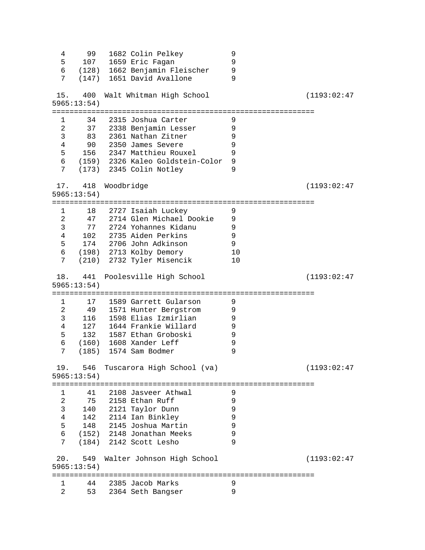| 4              | 99                     |            | 1682 Colin Pelkey                | 9                            |              |
|----------------|------------------------|------------|----------------------------------|------------------------------|--------------|
| 5              | 107                    |            | 1659 Eric Fagan                  | 9                            |              |
| 6              |                        |            | (128) 1662 Benjamin Fleischer    | 9                            |              |
| 7              |                        |            | (147) 1651 David Avallone        | 9                            |              |
|                | 15. 400                |            | Walt Whitman High School         |                              | (1193:02:47) |
|                | 5965:13:54)            |            |                                  |                              |              |
|                | ===============        |            |                                  | :=========================== |              |
| $1 \quad$      | 34                     |            | 2315 Joshua Carter               | 9                            |              |
| $\overline{a}$ |                        |            | 37 2338 Benjamin Lesser          | 9                            |              |
| $\mathsf{3}$   |                        |            | 83 2361 Nathan Zitner            | 9                            |              |
| $\overline{4}$ | 90                     |            | 2350 James Severe                | 9                            |              |
| 5              |                        |            | 156 2347 Matthieu Rouxel         | 9                            |              |
| 6              |                        |            | (159) 2326 Kaleo Goldstein-Color | $\mathsf 9$                  |              |
| 7              |                        |            | (173) 2345 Colin Notley          | 9                            |              |
|                |                        |            |                                  |                              |              |
|                | 17. 418                | Woodbridge |                                  |                              | (1193:02:47) |
|                | 5965:13:54)            |            |                                  |                              |              |
|                |                        |            | =========================        |                              |              |
|                | $1 \quad \cdots$<br>18 |            | 2727 Isaiah Luckey               | 9                            |              |
| $\overline{2}$ |                        |            | 47 2714 Glen Michael Dookie      | 9                            |              |
| $\mathsf{3}$   | 77                     |            | 2724 Yohannes Kidanu             | 9                            |              |
| $\overline{4}$ | 102                    |            | 2735 Aiden Perkins               | 9                            |              |
| 5              |                        |            | 174 2706 John Adkinson           | 9                            |              |
| 6              |                        |            | (198) 2713 Kolby Demory          | 10                           |              |
| 7              |                        |            | (210) 2732 Tyler Misencik        | 10                           |              |
|                |                        |            |                                  |                              |              |
| 18.            | 441                    |            | Poolesville High School          |                              | (1193:02:47) |
|                |                        |            |                                  |                              |              |
|                | 5965:13:54)            |            |                                  |                              |              |
|                | ===============        |            |                                  |                              |              |
| 1              | 17                     |            | 1589 Garrett Gularson            | 9                            |              |
| $\overline{2}$ |                        |            | 49 1571 Hunter Bergstrom         | 9                            |              |
| 3              | 116                    |            | 1598 Elias Izmirlian             | 9                            |              |
| 4              | 127                    |            | 1644 Frankie Willard             | 9                            |              |
| 5              | 132                    |            | 1587 Ethan Groboski              | 9                            |              |
| 6              |                        |            | (160) 1608 Xander Leff           | 9                            |              |
| 7              | (185)                  |            | 1574 Sam Bodmer                  | 9                            |              |
|                |                        |            |                                  |                              |              |
| 19.            | 546                    |            | Tuscarora High School (va)       |                              | (1193:02:47) |
|                | 5965:13:54)            |            |                                  |                              |              |
|                |                        |            |                                  |                              |              |
| 1              | 41                     |            | 2108 Jasveer Athwal              | 9                            |              |
| 2              | 75                     |            | 2158 Ethan Ruff                  | 9                            |              |
| 3              |                        |            | 140 2121 Taylor Dunn             | 9                            |              |
| $\overline{4}$ | 142                    |            | 2114 Ian Binkley                 | 9                            |              |
| 5              |                        |            | 148 2145 Joshua Martin           | 9                            |              |
| 6              |                        |            | (152) 2148 Jonathan Meeks        | 9                            |              |
| 7              |                        |            | (184) 2142 Scott Lesho           | 9                            |              |
| 20.            | 549                    |            |                                  |                              | (1193:02:47) |
|                |                        |            | Walter Johnson High School       |                              |              |
|                | 5965:13:54)            |            |                                  |                              |              |
| 1              | 44                     |            | 2385 Jacob Marks                 | 9                            |              |
| 2              | 53                     |            | 2364 Seth Bangser                | 9                            |              |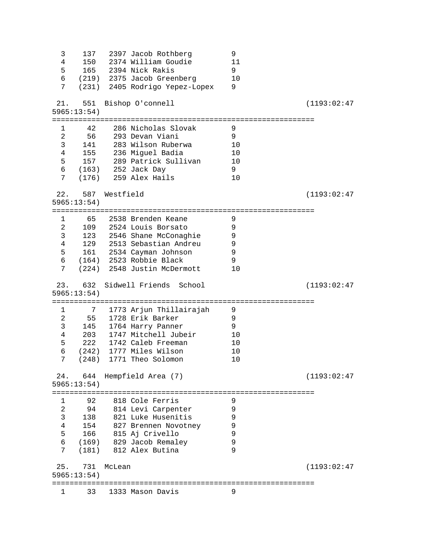| 3               |                    |               | 137 2397 Jacob Rothberg                    | 9        |              |
|-----------------|--------------------|---------------|--------------------------------------------|----------|--------------|
| 4               |                    |               | 150 2374 William Goudie                    | 11       |              |
| 5               |                    |               | 165 2394 Nick Rakis                        | 9        |              |
| 6               |                    |               | (219) 2375 Jacob Greenberg                 | 10       |              |
| 7               |                    |               | (231) 2405 Rodrigo Yepez-Lopex             | 9        |              |
|                 |                    |               |                                            |          |              |
| 21.             | 551                |               | Bishop O'connell                           |          | (1193:02:47) |
|                 | 5965:13:54)        |               |                                            |          |              |
|                 |                    |               |                                            |          |              |
| 1               | 42                 |               | 286 Nicholas Slovak                        | 9        |              |
| 2               | 56                 |               | 293 Devan Viani                            | 9        |              |
| 3               | 141                |               | 283 Wilson Ruberwa                         | 10       |              |
| 4               |                    |               | 155 236 Miguel Badia                       | 10       |              |
| 5               |                    |               | 157 289 Patrick Sullivan                   | 10       |              |
| 6               |                    |               | (163) 252 Jack Day                         | 9        |              |
| 7               |                    |               | $(176)$ 259 Alex Hails                     | 10       |              |
| 22.             |                    | 587 Westfield |                                            |          |              |
|                 | 5965:13:54)        |               |                                            |          | (1193:02:47) |
|                 | ==============     |               |                                            |          |              |
| $\mathbf{1}$    |                    |               | 65     2538 Brenden Keane                  | 9        |              |
| $\overline{2}$  |                    |               | 109 2524 Louis Borsato                     | 9        |              |
| 3               |                    |               | 123 2546 Shane McConaghie                  | 9        |              |
| $\overline{4}$  |                    |               | 129 2513 Sebastian Andreu                  | 9        |              |
| 5               |                    |               | 161 2534 Cayman Johnson                    | 9        |              |
|                 |                    |               | 6 (164) 2523 Robbie Black                  | 9        |              |
| 7               |                    |               | (224) 2548 Justin McDermott                | 10       |              |
|                 |                    |               |                                            |          |              |
|                 |                    |               |                                            |          |              |
|                 |                    |               |                                            |          |              |
| 23.             |                    |               | 632 Sidwell Friends School                 |          | (1193:02:47) |
|                 | 5965:13:54)        |               |                                            |          |              |
| 1               |                    |               |                                            | 9        |              |
|                 |                    |               | 7 1773 Arjun Thillairajah                  |          |              |
| 2               | 55                 |               | 1728 Erik Barker                           | 9<br>9   |              |
| 3<br>4          |                    |               | 145 1764 Harry Panner                      |          |              |
|                 | 203                |               | 1747 Mitchell Jubeir<br>1742 Caleb Freeman | 10       |              |
| 5               | 222                |               |                                            | 10<br>10 |              |
| $\epsilon$<br>7 | (242)<br>(248)     |               | 1777 Miles Wilson                          | 10       |              |
|                 |                    |               | 1771 Theo Solomon                          |          |              |
| 24.             | 644                |               | Hempfield Area (7)                         |          | (1193:02:47) |
|                 | 5965:13:54)        |               |                                            |          |              |
|                 | ================== |               | =====================================      |          |              |
| 1               | 92                 |               | 818 Cole Ferris                            | 9        |              |
| 2               | 94                 |               | 814 Levi Carpenter                         | 9        |              |
| 3               | 138                |               | 821 Luke Husenitis                         | 9        |              |
| 4               | 154                |               | 827 Brennen Novotney                       | 9        |              |
| 5               | 166                |               | 815 Aj Crivello                            | 9        |              |
| 6               |                    |               | (169) 829 Jacob Remaley                    | 9        |              |
| 7               | (181)              |               | 812 Alex Butina                            | 9        |              |
|                 |                    |               |                                            |          |              |
| 25.             | 731                | McLean        |                                            |          | (1193:02:47) |
|                 | 5965:13:54)        |               |                                            |          |              |
| 1               | 33                 |               | 1333 Mason Davis                           | 9        |              |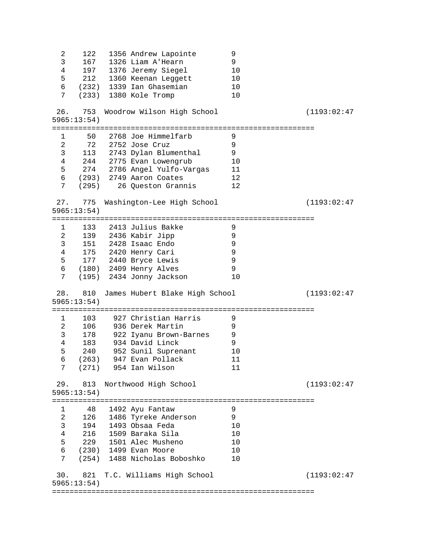2 122 1356 Andrew Lapointe 9 3 167 1326 Liam A'Hearn 9<br>4 197 1376 Jeremy Siegel 10 4 197 1376 Jeremy Siegel 10<br>5 212 1360 Keenan Leggett 10 212 1360 Keenan Leggett 10<br>(232) 1339 Ian Ghasemian 10 ---<br>6 (232) 1339 Ian Ghasemian 10<br>7 (233) 1380 Kole Tromp 10 (233) 1380 Kole Tromp 26. 753 Woodrow Wilson High School (1193:02:47 5965:13:54) ============================================================ 1 50 2768 Joe Himmelfarb 9<br>2 72 2752 Jose Cruz 9 2 72 2752 Jose Cruz 9 3 113 2743 Dylan Blumenthal 9 4 244 2775 Evan Lowengrub 10 5 274 2786 Angel Yulfo-Vargas 11 6 (293) 2749 Aaron Coates 12 7 (295) 26 Queston Grannis 12 27. 775 Washington-Lee High School (1193:02:47 5965:13:54) ============================================================ 1 133 2413 Julius Bakke 9<br>2 139 2436 Kabir Jipp 9<br>2 151 2111 2 139 2436 Kabir Jipp 9 3 151 2428 Isaac Endo 9 4 175 2420 Henry Cari 9 5 177 2440 Bryce Lewis 9 6 (180) 2409 Henry Alves 9 7 (195) 2434 Jonny Jackson 10 28. 810 James Hubert Blake High School (1193:02:47 5965:13:54) ============================================================ 1 103 927 Christian Harris 9<br>2 106 936 Derek Martin 9 936 Derek Martin 3 178 922 Iyanu Brown-Barnes 9 4 183 934 David Linck<br>5 240 952 Sunil Suprenant 240 952 Sunil Suprenant 10<br>(263) 947 Evan Pollack 11 6 (263) 947 Evan Pollack 11 7 (271) 954 Ian Wilson 11 29. 813 Northwood High School (1193:02:47 5965:13:54) ============================================================ 1 48 1492 Ayu Fantaw 9 2 126 1486 Tyreke Anderson 9 3 194 1493 Obsaa Feda 10 4 216 1509 Baraka Sila 10<br>5 229 1501 Alec Musheno 10<br>6 (230) 1499 Evan Moore 10 229 1501 Alec Musheno 10<br>(230) 1499 Evan Moore 10 6 (230) 1499 Evan Moore<br>7 (254) 1488 Nicholas Bobo 7 (254) 1488 Nicholas Boboshko 10 30. 821 T.C. Williams High School (1193:02:47 5965:13:54) ============================================================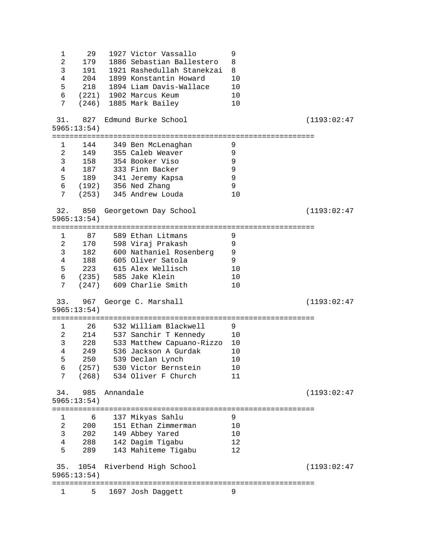1 29 1927 Victor Vassallo 9<br>2 179 1886 Sebastian Ballestero 8 2 179 1886 Sebastian Ballestero 8 3 191 1921 Rashedullah Stanekzai 8 4 204 1899 Konstantin Howard 10 5 218 1894 Liam Davis-Wallace 10 6 (221) 1902 Marcus Keum 10 7 (246) 1885 Mark Bailey 10 31. 827 Edmund Burke School (1193:02:47 5965:13:54) ============================================================ 1 144 349 Ben McLenaghan 9 2 149 355 Caleb Weaver 9 3 158 354 Booker Viso 9 4 187 333 Finn Backer 9 189 341 Jeremy Kapsa 6 (192) 356 Ned Zhang 9 7 (253) 345 Andrew Louda 10 32. 850 Georgetown Day School (1193:02:47 5965:13:54) ============================================================ 1 87 589 Ethan Litmans 9<br>2 170 598 Viraj Prakash 9 2 170 598 Viraj Prakash 9 3 182 600 Nathaniel Rosenberg 9 4 188 605 Oliver Satola 9 5 223 615 Alex Wellisch 10 6 (235) 585 Jake Klein 10 7 (247) 609 Charlie Smith 10 33. 967 George C. Marshall (1193:02:47 5965:13:54) ============================================================ 1 26 532 William Blackwell 9<br>2 214 537 Sanchir T Kennedy 10 2 214 537 Sanchir T Kennedy<br>3 228 533 Matthew Capuano-Rizzo 3 228 533 Matthew Capuano-Rizzo 10 4 249 536 Jackson A Gurdak 10 5 250 539 Declan Lynch 10 6 (257) 530 Victor Bernstein 10 7 (268) 534 Oliver F Church 11 34. 985 Annandale (1193:02:47 5965:13:54) ============================================================ 1 6 137 Mikyas Sahlu 9 2 200 151 Ethan Zimmerman 10 3 202 149 Abbey Yared 10 4 288 142 Dagim Tigabu 12 5 289 143 Mahiteme Tigabu 12 35. 1054 Riverbend High School (1193:02:47 5965:13:54) ============================================================ 1 5 1697 Josh Daggett 9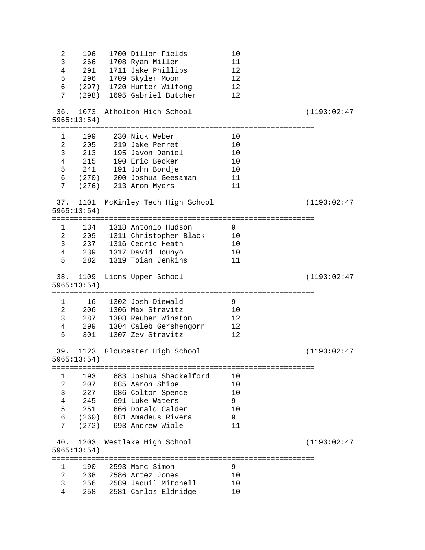| 2                              | 196                   | 1700 Dillon Fields                           | 10       |              |
|--------------------------------|-----------------------|----------------------------------------------|----------|--------------|
| 3                              | 266                   | 1708 Ryan Miller                             | 11       |              |
| $\overline{4}$                 | 291                   | 1711 Jake Phillips                           | 12       |              |
| 5                              | 296                   | 1709 Skyler Moon                             | 12       |              |
| 6                              |                       | (297) 1720 Hunter Wilfong                    | 12       |              |
| 7                              |                       | (298) 1695 Gabriel Butcher                   | 12       |              |
|                                |                       |                                              |          |              |
| 36.                            | 1073                  | Atholton High School                         |          | (1193:02:47) |
|                                | 5965:13:54)           |                                              |          |              |
|                                |                       |                                              |          |              |
| 1                              | 199                   | 230 Nick Weber                               | 10       |              |
| $\overline{2}$                 | 205                   | 219 Jake Perret                              | 10       |              |
| $\mathsf{3}$                   | 213                   | 195 Javon Daniel                             | 10       |              |
| $\overline{4}$                 | 215                   | 190 Eric Becker                              | 10       |              |
| 5                              |                       | 241 191 John Bondje                          | 10       |              |
|                                |                       | 6 (270) 200 Joshua Geesaman                  | 11       |              |
| $7\phantom{.0}$                |                       | (276) 213 Aron Myers                         | 11       |              |
|                                |                       |                                              |          |              |
| 37.                            | 1101                  | McKinley Tech High School                    |          | (1193:02:47) |
|                                | 5965:13:54)           |                                              |          |              |
|                                |                       |                                              |          |              |
| $\mathbf{1}$                   | 134                   | 1318 Antonio Hudson                          | 9        |              |
| $2 \left( \frac{1}{2} \right)$ |                       | 209 1311 Christopher Black                   | 10       |              |
| $\mathsf{3}$                   | 237                   | 1316 Cedric Heath                            | 10       |              |
| $\overline{4}$                 |                       | 239 1317 David Hounyo                        | 10       |              |
| 5                              | 282                   | 1319 Toian Jenkins                           | 11       |              |
|                                |                       |                                              |          |              |
| 38.                            | 1109                  | Lions Upper School                           |          | (1193:02:47) |
|                                | 5965:13:54)           |                                              |          |              |
|                                |                       |                                              |          |              |
| $\mathbf{1}$                   | 16                    | 1302 Josh Diewald                            | 9        |              |
| $\overline{2}$                 | 206                   | 1306 Max Stravitz                            | 10       |              |
| $\mathsf{3}$                   | 287                   | 1308 Reuben Winston                          | 12       |              |
| $\overline{4}$                 | 299                   | 1304 Caleb Gershengorn                       | 12       |              |
| 5                              | 301                   | 1307 Zev Stravitz                            | 12       |              |
|                                |                       |                                              |          |              |
| 39.                            | 1123                  | Gloucester High School                       |          | (1193:02:47) |
|                                | 5965:13:54)           |                                              |          |              |
|                                |                       |                                              |          |              |
| 1                              | 193                   | 683 Joshua Shackelford                       |          |              |
| 2                              |                       |                                              |          |              |
|                                |                       |                                              | 10       |              |
|                                | 207                   | 685 Aaron Shipe                              | 10       |              |
| 3                              | 227                   | 686 Colton Spence                            | 10       |              |
| $\overline{4}$                 | 245                   | 691 Luke Waters                              | 9        |              |
| 5                              | 251                   | 666 Donald Calder                            | 10       |              |
| 6                              | (260)                 | 681 Amadeus Rivera                           | 9        |              |
| 7                              | (272)                 | 693 Andrew Wible                             | 11       |              |
|                                |                       |                                              |          |              |
| 40.                            | 1203                  | Westlake High School                         |          | (1193:02:47) |
|                                | 5965:13:54)           |                                              |          |              |
|                                | ===================== |                                              |          |              |
| $\mathbf{1}$                   | 190                   | 2593 Marc Simon                              | 9        |              |
| $\overline{2}$                 | 238                   | 2586 Artez Jones                             | 10       |              |
| 3<br>4                         | 256<br>258            | 2589 Jaquil Mitchell<br>2581 Carlos Eldridge | 10<br>10 |              |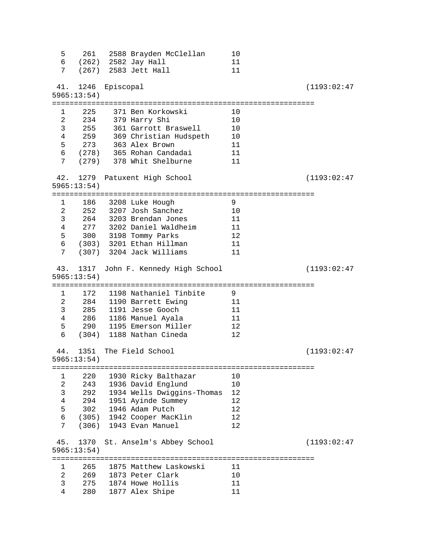| 5<br>7                                                                                        | 261                                           |           | 2588 Brayden McClellan<br>6 (262) 2582 Jay Hall<br>(267) 2583 Jett Hall                                                                                                          | 10<br>11<br>11                         |              |
|-----------------------------------------------------------------------------------------------|-----------------------------------------------|-----------|----------------------------------------------------------------------------------------------------------------------------------------------------------------------------------|----------------------------------------|--------------|
| 41.                                                                                           | 1246<br>5965:13:54)                           | Episcopal |                                                                                                                                                                                  |                                        | (1193:02:47) |
| 1<br>$\overline{2}$<br>3<br>$\overline{4}$<br>5<br>$6\overline{6}$<br>7                       | 225<br>255                                    |           | 371 Ben Korkowski<br>234 379 Harry Shi<br>361 Garrott Braswell<br>259     369 Christian Hudspeth<br>273 363 Alex Brown<br>(278) - 365 Rohan Candadai<br>(279) 378 Whit Shelburne | 10<br>10<br>10<br>10<br>11<br>11<br>11 |              |
| 42.                                                                                           | 1279<br>5965:13:54)                           |           | Patuxent High School                                                                                                                                                             |                                        | (1193:02:47) |
| $\mathbf{1}$<br>$\overline{a}$<br>$\mathsf{3}$<br>$\overline{4}$<br>5<br>$6\overline{6}$<br>7 | 277                                           |           | 186 3208 Luke Hough<br>252 3207 Josh Sanchez<br>264 3203 Brendan Jones<br>3202 Daniel Waldheim<br>300 3198 Tommy Parks<br>(303) 3201 Ethan Hillman<br>(307) 3204 Jack Williams   | 9<br>10<br>11<br>11<br>12<br>11<br>11  |              |
|                                                                                               | 43. 1317<br>5965:13:54)                       |           | John F. Kennedy High School                                                                                                                                                      |                                        | (1193:02:47) |
| $1 \quad$<br>$\overline{a}$<br>3<br>$\overline{4}$<br>5<br>6                                  | 172<br>285<br>290<br>(304)                    |           | 1198 Nathaniel Tinbite<br>284 1190 Barrett Ewing<br>1191 Jesse Gooch<br>286 1186 Manuel Ayala<br>1195 Emerson Miller<br>1188 Nathan Cineda                                       | 9<br>11<br>11<br>11<br>12<br>12        |              |
| 44.                                                                                           | 1351<br>5965:13:54)                           |           | The Field School                                                                                                                                                                 |                                        | (1193:02:47) |
| 1<br>2<br>3<br>4<br>5<br>6<br>7                                                               | 220<br>243<br>292<br>294<br>302<br>(306)      |           | 1930 Ricky Balthazar<br>1936 David Englund<br>1934 Wells Dwiggins-Thomas<br>1951 Ayinde Summey<br>1946 Adam Putch<br>(305) 1942 Cooper MacKlin<br>1943 Evan Manuel               | 10<br>10<br>12<br>12<br>12<br>12<br>12 |              |
| 45.                                                                                           | 1370<br>5965:13:54)                           |           | St. Anselm's Abbey School                                                                                                                                                        |                                        | (1193:02:47) |
| $\mathbf{1}$<br>$\overline{2}$<br>3<br>4                                                      | ========================<br>265<br>275<br>280 |           | ======================================<br>1875 Matthew Laskowski<br>269 1873 Peter Clark<br>1874 Howe Hollis<br>1877 Alex Shipe                                                  | 11<br>10<br>11<br>11                   |              |